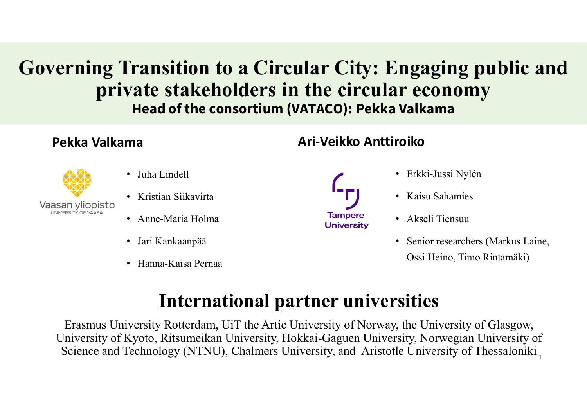# Governing Transition to a Circular City: Engaging public and private stakeholders in the circular economy Head of the consortium (VATACO): Pekka Valkama **Fransition to a Circular City:**<br> **Vate stakeholders in the circul<br>
Head of the consortium (VATACO): Pekk<br>
ma Ari-Veikko Anti<br>
• Juha Lindell<br>
• Kristian Siikavirta<br>
• Anne-Maria Holma Example 10 CONTROVIGER STANDER CONTROVIDENT CONTROVIDE STAND MATACO): Pekl**<br> **Figure 10 CONTROVIDE CONTROVIDE STAND Ari-Veikko Ant**<br>
• Juha Lindell<br>
• Kristian Siikavirta<br>
• Anne-Maria Holma<br>
• Jari Kankaanpää<br>
• Jari Kan **Vate stakeholders in the circular e<br>
Head of the consortium (VATACO): Pekka Vall<br>
ma<br>
• Juha Lindell<br>
• Kristian Siikavirta<br>
• Anne-Maria Holma<br>
• Jari Kankaanpää<br>
• Jari Kankaanpää<br>
• Hanna-Kaisa Pernaa<br>
• Jari Kankaanpä Arian City: Engaging public and<br>
the circular economy<br>
TATACO): Pekka Valkama<br>
Ari-Veikko Anttiroiko<br>
Contribution de Sekmiss Nylén<br>
Contribution de Vaint Sekmiss**

## Pekka Valkama



- 
- 
- Anne-Maria Holma
- 
- 

- 
- Erkki-Jussi Nylén
- Kaisu Sahamies
- Akseli Tiensuu
- Senior researchers (Markus Laine, Ossi Heino, Timo Rintamäki)

## International partner universities

Erkki-Jussi Nylén<br>
Internaction Silkavirta<br>
Internaction and Tampere<br>
The Maria Holma<br>
Internactional partner university of Norway, the University of Glasgow,<br>
Framma-Kaisa Pernaa<br>
Internactional partner university of Norw University<br>
San yliopisto<br>
San yliopisto<br>
Anne-Maria Holma<br>
Jari Kankaanpää<br>
Jari Kankaanpää<br>
Hanna-Kaisa Pernaa<br>
University<br>
Hanna-Kaisa Pernaa<br>
International partner universities<br>
Erasmus University, Notedam, UiT the Art Science and Technology (NTNU), Chalmers University, and Aristotle University of Thessaloniki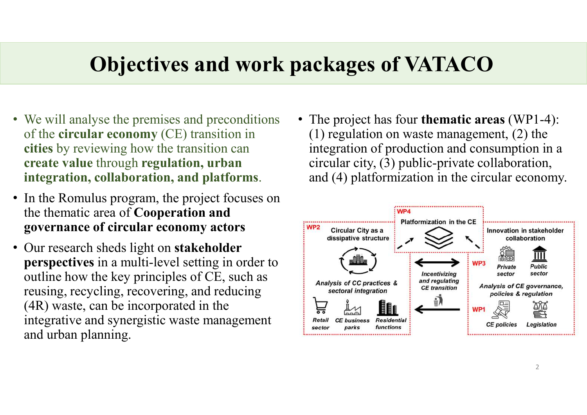# Objectives and work packages of VATACO

- We will analyse the premises and preconditions of the circular economy (CE) transition in cities by reviewing how the transition can create value through regulation, urban
- In the Romulus program, the project focuses on the thematic area of Cooperation and governance of circular economy actors **EVP2** Circular City as a
- Our research sheds light on **stakeholder** perspectives in a multi-level setting in order to outline how the key principles of CE, such as  $\sum_{\text{Analysis of CC practices > E}}$ reusing, recycling, recovering, and reducing (4R) waste, can be incorporated in the integrative and synergistic waste management Retail and urban planning.
- integration, collaboration, and platforms. and (4) platformization in the circular economy. • The project has four **thematic areas** (WP1-4): (1) regulation on waste management, (2) the integration of production and consumption in a circular city, (3) public-private collaboration, **CKages of VATACO**<br>The project has four thematic areas (WP1-4):<br>(1) regulation on waste management, (2) the<br>integration of production and consumption in a<br>circular city, (3) public-private collaboration,<br>and (4) platformiz